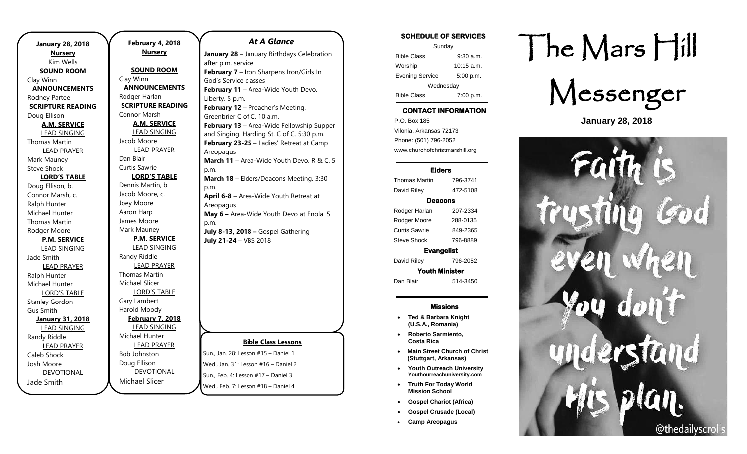| <b>January 28, 2018</b><br><b>Nursery</b><br>Kim Wells |  |  |
|--------------------------------------------------------|--|--|
| <b>SOUND ROOM</b>                                      |  |  |
| Clay Winn                                              |  |  |
| <b>ANNOUNCEMENTS</b>                                   |  |  |
| Rodney Partee                                          |  |  |
| <b>SCRIPTURE READING</b>                               |  |  |
| Doug Ellison                                           |  |  |
| <b>A.M. SERVICE</b>                                    |  |  |
| <b>LEAD SINGING</b>                                    |  |  |
| <b>Thomas Martin</b>                                   |  |  |
| <b>LEAD PRAYER</b>                                     |  |  |
| Mark Mauney                                            |  |  |
| <b>Steve Shock</b>                                     |  |  |
| <b>LORD'S TABLE</b>                                    |  |  |
| Doug Ellison, b.                                       |  |  |
| Connor Marsh, c.                                       |  |  |
| Ralph Hunter                                           |  |  |
| Michael Hunter                                         |  |  |
| Thomas Martin                                          |  |  |
| Rodger Moore                                           |  |  |
| <b>P.M. SERVICE</b>                                    |  |  |
| <b>LEAD SINGING</b>                                    |  |  |
| Jade Smith                                             |  |  |
| <b>LEAD PRAYER</b>                                     |  |  |
| Ralph Hunter                                           |  |  |
| Michael Hunter                                         |  |  |
| <b>LORD'S TABLE</b>                                    |  |  |
| <b>Stanley Gordon</b>                                  |  |  |
| Gus Smith                                              |  |  |
| <b>January 31, 2018</b>                                |  |  |
| <b>LEAD SINGING</b><br>Randy Riddle                    |  |  |
|                                                        |  |  |
| <b>LEAD PRAYER</b><br>Caleb Shock                      |  |  |
| Josh Moore                                             |  |  |
| <b>DEVOTIONAL</b>                                      |  |  |
| Jade Smith                                             |  |  |

.

**February 4, 2018 Nursery SOUND ROOM** Clay Winn **ANNOUNCEMENTS** Rodger Harlan **SCRIPTURE READING** Connor Marsh **A.M. SERVICE** LEAD SINGING Jacob Moore LEAD PRAYER Dan Blair Curtis Sawrie **LORD'S TABLE** Dennis Martin, b. Jacob Moore, c. Joey Moore Aaron Harp James Moore Mark Mauney **P.M. SERVICE** LEAD SINGING Randy Riddle LEAD PRAYER Thomas Martin Michael Slicer LORD'S TABLE Gary Lambert Harold Moody **February 7, 2018** LEAD SINGING Michael Hunter LEAD PRAYER Bob Johnston Doug Ellison DEVOTIONAL

Michael Slicer

## *At A Glance*

**January 28** – January Birthdays Celebration after p.m. service **February 7** – Iron Sharpens Iron/Girls In God's Service classes **February 11** – Area-Wide Youth Devo. Liberty. 5 p.m. **February 12** – Preacher's Meeting. Greenbrier C of C. 10 a.m. **February 13** – Area-Wide Fellowship Supper and Singing. Harding St. C of C. 5:30 p.m. **February 23-25** – Ladies' Retreat at Camp Areopagus **March 11** – Area-Wide Youth Devo. R & C. 5 p.m. **March 18** – Elders/Deacons Meeting. 3:30 p.m. **April 6-8** – Area-Wide Youth Retreat at Areopagus **May 6 –** Area-Wide Youth Devo at Enola. 5 p.m. **July 8-13, 2018 –** Gospel Gathering **July 21-24** – VBS 2018

### **Bible Class Lessons**

Sun., Jan. 28: Lesson #15 – Daniel 1 Wed., Jan. 31: Lesson #16 – Daniel 2 Sun., Feb. 4: Lesson #17 – Daniel 3 Wed., Feb. 7: Lesson #18 – Daniel 4

## SCHEDULE OF SERVICES

| Sunday                 |             |  |
|------------------------|-------------|--|
| <b>Bible Class</b>     | $9:30$ a.m. |  |
| Worship                | 10:15 a.m.  |  |
| <b>Evening Service</b> | 5:00 p.m.   |  |
| Wednesday              |             |  |
| <b>Bible Class</b>     | 7:00 p.m.   |  |

## CONTACT INFORMATION

. .o. Box 166<br>Vilonia, Arkansas 72173 P.O. Box 185 Phone: (501) 796-2052 www.churchofchristmarshill.org

#### Elders

Thomas Martin 796-3741 David Riley 472-5108 Deacons Rodger Harlan 207-2334 Rodger Moore 288-0135 Curtis Sawrie 849-2365 Steve Shock 796-8889 Evangelist David Riley 796-2052

Youth Minister Dan Blair 514-3450

#### Missions

- **Ted & Barbara Knight (U.S.A., Romania)**
- **Roberto Sarmiento, Costa Rica**
- **Main Street Church of Christ (Stuttgart, Arkansas)**
- **Youth Outreach University Youthourreachuniversity.com**
- **Truth For Today World Mission School**
- **Gospel Chariot (Africa)**
- **Gospel Crusade (Local)**
- **Camp Areopagus**

# The Mars Hill



**January 28, 2018**

 $|1|$ stand @thedailyscrolls